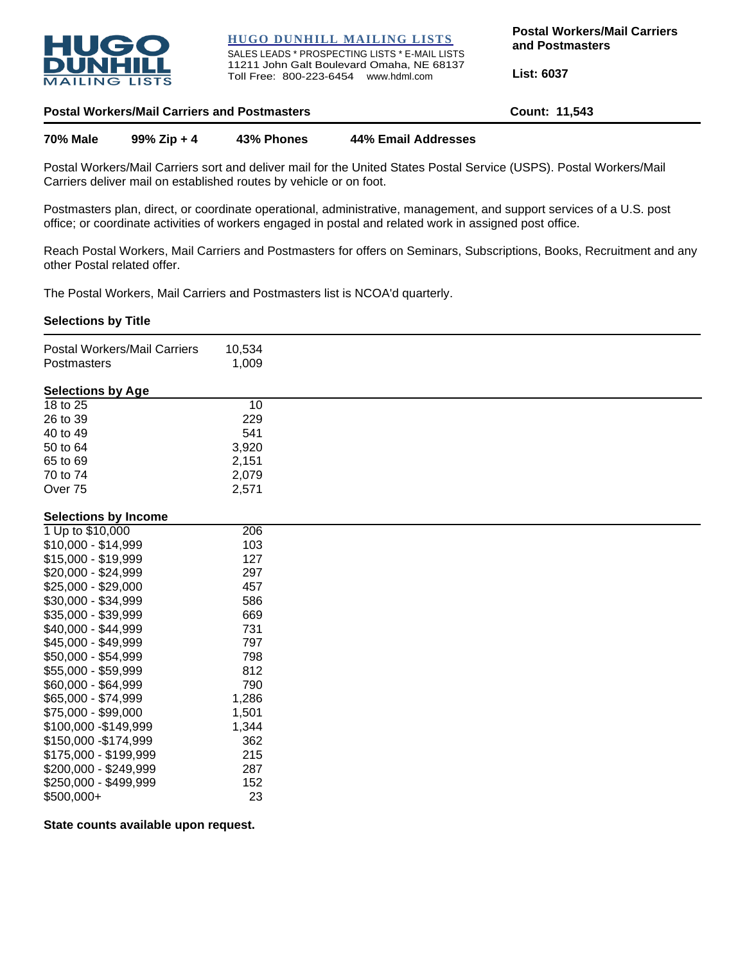

**HUGO DUNHILL MAILING LISTS**

SALES LEADS \* PROSPECTING LISTS \* E-MAIL LISTS 11211 John Galt Boulevard Omaha, NE 68137 Toll Free: 800-223-6454 www.hdml.com

**Postal Workers/Mail Carriers and Postmasters**

**List: 6037**

| <b>Postal Workers/Mail Carriers and Postmasters</b> | Count: 11,543 |
|-----------------------------------------------------|---------------|
|-----------------------------------------------------|---------------|

**70% Male 99% Zip + 4 43% Phones 44% Email Addresses**

Postal Workers/Mail Carriers sort and deliver mail for the United States Postal Service (USPS). Postal Workers/Mail Carriers deliver mail on established routes by vehicle or on foot.

Postmasters plan, direct, or coordinate operational, administrative, management, and support services of a U.S. post office; or coordinate activities of workers engaged in postal and related work in assigned post office.

Reach Postal Workers, Mail Carriers and Postmasters for offers on Seminars, Subscriptions, Books, Recruitment and any other Postal related offer.

The Postal Workers, Mail Carriers and Postmasters list is NCOA'd quarterly.

## **Selections by Title**

| Postal Workers/Mail Carriers<br>Postmasters | 10,534<br>1,009 |  |
|---------------------------------------------|-----------------|--|
| <b>Selections by Age</b>                    |                 |  |
| 18 to 25                                    | 10              |  |
| 26 to 39                                    | 229             |  |
| 40 to 49                                    | 541             |  |
| 50 to 64                                    | 3,920           |  |
| 65 to 69                                    | 2,151           |  |
| 70 to 74                                    | 2,079           |  |
| Over 75                                     | 2,571           |  |
| <b>Selections by Income</b>                 |                 |  |
| 1 Up to \$10,000                            | 206             |  |
| \$10,000 - \$14,999                         | 103             |  |
| \$15,000 - \$19,999                         | 127             |  |
| \$20,000 - \$24,999                         | 297             |  |
| $$25,000 - $29,000$                         | 457             |  |
| \$30,000 - \$34,999                         | 586             |  |
| \$35,000 - \$39,999                         | 669             |  |
| \$40,000 - \$44,999                         | 731             |  |
| \$45,000 - \$49,999                         | 797             |  |
| \$50,000 - \$54,999                         | 798             |  |
| \$55,000 - \$59,999                         | 812             |  |
| \$60,000 - \$64,999                         | 790             |  |
| \$65,000 - \$74,999                         | 1,286           |  |
| \$75,000 - \$99,000                         | 1,501           |  |
| \$100,000 - \$149,999                       | 1,344           |  |
| \$150,000 - \$174,999                       | 362             |  |
| \$175,000 - \$199,999                       | 215             |  |
| \$200,000 - \$249,999                       | 287             |  |
| \$250,000 - \$499,999                       | 152             |  |
| \$500,000+                                  | 23              |  |

**State counts available upon request.**